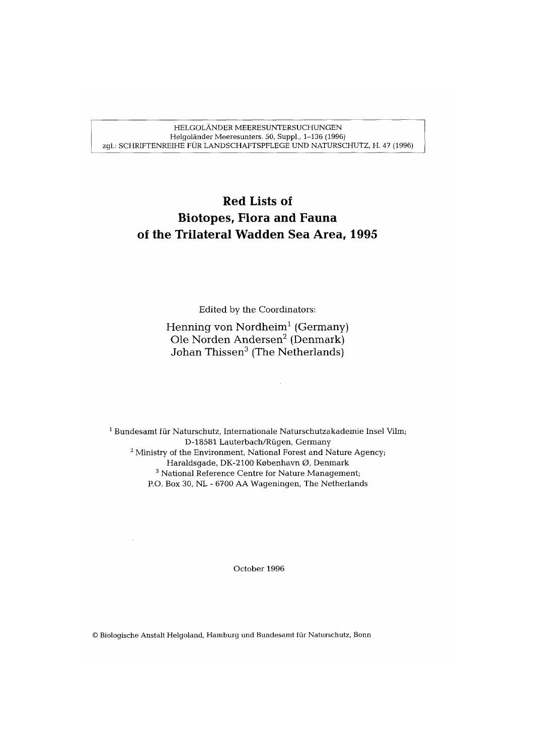HELGOLÄNDER MEERESUNTERSUCHUNGEN Helgoländer Meeresunters. 50, Suppl., 1-136 (1996) zgl.: SCHRIFTENREIHE FÜR LANDSCHAFTSPFLEGE UND NATURSCHUTZ, H. 47 (1996)

## **Red Lists of Biotopes, Flora and Fauna of the Trilateral Wadden Sea Area, 1995**

Edited by the Coordinators:

Henning von Nordheim' (Germany) Ole Norden Andersen2 (Denmark) Johan Thissen<sup>3</sup> (The Netherlands)

 $\bar{z}$ 

 $1$  Bundesamt für Naturschutz, Internationale Naturschutzakademie Insel Vilm; D-18581 Lauterbach/Rügen, Germany  $2$  Ministry of the Environment, National Forest and Nature Agency; Haraldsgade, DK-2100 København Ø, Denmark <sup>3</sup> National Reference Centre for Nature Management; P.O. Box 30, NL - 6700 AA Wageningen, The Netherlands

October 1996

Biologische Anstalt Helgoland, Hamburg und Bundesamt fur Naturschutz, Bonn